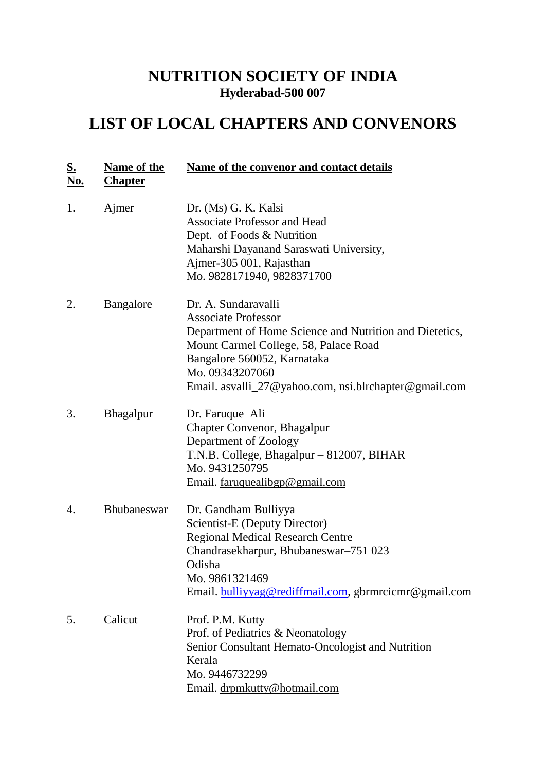## **NUTRITION SOCIETY OF INDIA Hyderabad-500 007**

## **LIST OF LOCAL CHAPTERS AND CONVENORS**

| <u>S.</u><br><u>No.</u> | <b>Name of the</b><br><b>Chapter</b> | Name of the convenor and contact details                                                                                                                                                                                                                         |
|-------------------------|--------------------------------------|------------------------------------------------------------------------------------------------------------------------------------------------------------------------------------------------------------------------------------------------------------------|
| 1.                      | Ajmer                                | Dr. (Ms) G. K. Kalsi<br><b>Associate Professor and Head</b><br>Dept. of Foods & Nutrition<br>Maharshi Dayanand Saraswati University,<br>Ajmer-305 001, Rajasthan<br>Mo. 9828171940, 9828371700                                                                   |
| 2.                      | <b>Bangalore</b>                     | Dr. A. Sundaravalli<br><b>Associate Professor</b><br>Department of Home Science and Nutrition and Dietetics,<br>Mount Carmel College, 58, Palace Road<br>Bangalore 560052, Karnataka<br>Mo. 09343207060<br>Email. asvalli_27@yahoo.com, nsi.blrchapter@gmail.com |
| 3.                      | <b>Bhagalpur</b>                     | Dr. Faruque Ali<br><b>Chapter Convenor, Bhagalpur</b><br>Department of Zoology<br>T.N.B. College, Bhagalpur – 812007, BIHAR<br>Mo. 9431250795<br>Email. faruquealibgp@gmail.com                                                                                  |
| 4.                      | <b>Bhubaneswar</b>                   | Dr. Gandham Bulliyya<br>Scientist-E (Deputy Director)<br><b>Regional Medical Research Centre</b><br>Chandrasekharpur, Bhubaneswar–751 023<br>Odisha<br>Mo. 9861321469<br>Email. bulliyyag@rediffmail.com, gbrmrcicmr@gmail.com                                   |
| 5.                      | Calicut                              | Prof. P.M. Kutty<br>Prof. of Pediatrics & Neonatology<br>Senior Consultant Hemato-Oncologist and Nutrition<br>Kerala<br>Mo. 9446732299<br>Email. drpmkutty@hotmail.com                                                                                           |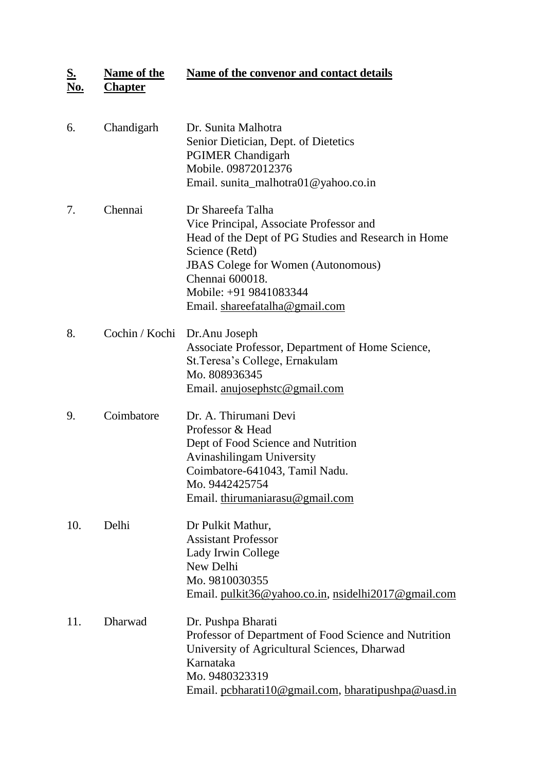**S. No. Name of the Chapter Name of the convenor and contact details** 

| 6.  | Chandigarh | Dr. Sunita Malhotra<br>Senior Dietician, Dept. of Dietetics<br><b>PGIMER Chandigarh</b><br>Mobile. 09872012376<br>Email. sunita_malhotra01@yahoo.co.in                                                                                                            |
|-----|------------|-------------------------------------------------------------------------------------------------------------------------------------------------------------------------------------------------------------------------------------------------------------------|
| 7.  | Chennai    | Dr Shareefa Talha<br>Vice Principal, Associate Professor and<br>Head of the Dept of PG Studies and Research in Home<br>Science (Retd)<br><b>JBAS</b> Colege for Women (Autonomous)<br>Chennai 600018.<br>Mobile: +91 9841083344<br>Email. shareefatalha@gmail.com |
| 8.  |            | Cochin / Kochi Dr.Anu Joseph<br>Associate Professor, Department of Home Science,<br>St. Teresa's College, Ernakulam<br>Mo. 808936345<br>Email. anujosephstc@gmail.com                                                                                             |
| 9.  | Coimbatore | Dr. A. Thirumani Devi<br>Professor & Head<br>Dept of Food Science and Nutrition<br>Avinashilingam University<br>Coimbatore-641043, Tamil Nadu.<br>Mo. 9442425754<br>Email. thirumaniarasu@gmail.com                                                               |
| 10. | Delhi      | Dr Pulkit Mathur,<br><b>Assistant Professor</b><br>Lady Irwin College<br>New Delhi<br>Mo. 9810030355<br>Email. pulkit36@yahoo.co.in, nsidelhi2017@gmail.com                                                                                                       |
| 11. | Dharwad    | Dr. Pushpa Bharati<br>Professor of Department of Food Science and Nutrition<br>University of Agricultural Sciences, Dharwad<br>Karnataka<br>Mo. 9480323319<br>Email. pcbharati10@gmail.com, bharatipushpa@uasd.in                                                 |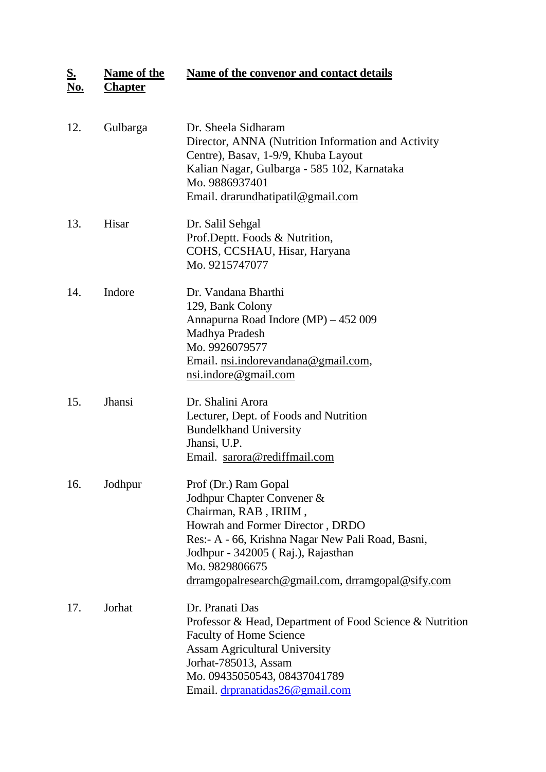**S. Name of the Name of the convenor and contact details** 

| No.<br><b>Chapter</b> |  |
|-----------------------|--|
|-----------------------|--|

| 12. | Gulbarga      | Dr. Sheela Sidharam<br>Director, ANNA (Nutrition Information and Activity<br>Centre), Basav, 1-9/9, Khuba Layout<br>Kalian Nagar, Gulbarga - 585 102, Karnataka<br>Mo. 9886937401<br>Email. drarundhatipatil@gmail.com                                                            |
|-----|---------------|-----------------------------------------------------------------------------------------------------------------------------------------------------------------------------------------------------------------------------------------------------------------------------------|
| 13. | Hisar         | Dr. Salil Sehgal<br>Prof.Deptt. Foods & Nutrition,<br>COHS, CCSHAU, Hisar, Haryana<br>Mo. 9215747077                                                                                                                                                                              |
| 14. | Indore        | Dr. Vandana Bharthi<br>129, Bank Colony<br>Annapurna Road Indore (MP) - 452 009<br>Madhya Pradesh<br>Mo. 9926079577<br>Email. nsi.indorevandana@gmail.com,<br>nsi.indore@gmail.com                                                                                                |
| 15. | <b>Jhansi</b> | Dr. Shalini Arora<br>Lecturer, Dept. of Foods and Nutrition<br><b>Bundelkhand University</b><br>Jhansi, U.P.<br>Email. sarora@rediffmail.com                                                                                                                                      |
| 16. | Jodhpur       | Prof (Dr.) Ram Gopal<br>Jodhpur Chapter Convener &<br>Chairman, RAB, IRIIM,<br>Howrah and Former Director, DRDO<br>Res:- A - 66, Krishna Nagar New Pali Road, Basni,<br>Jodhpur - 342005 (Raj.), Rajasthan<br>Mo. 9829806675<br>drramgopalresearch@gmail.com, drramgopal@sify.com |
| 17. | Jorhat        | Dr. Pranati Das<br>Professor & Head, Department of Food Science & Nutrition<br><b>Faculty of Home Science</b><br><b>Assam Agricultural University</b><br>Jorhat-785013, Assam<br>Mo. 09435050543, 08437041789<br>Email. drpranatidas26@gmail.com                                  |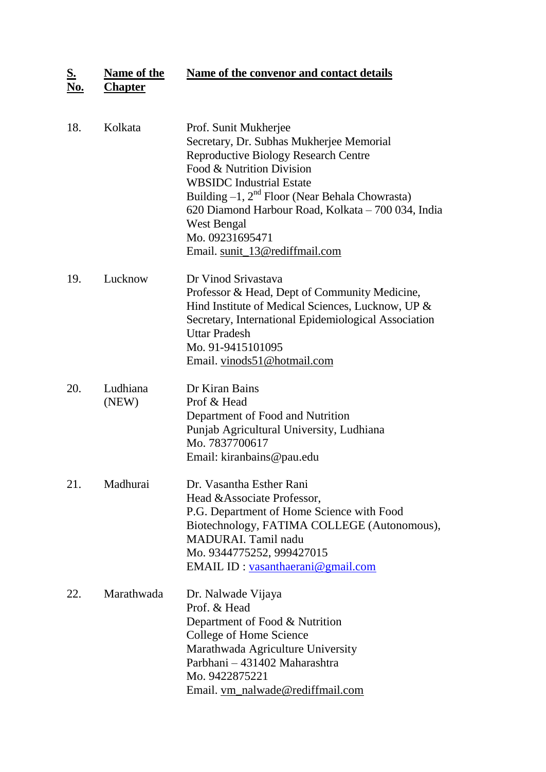**S. Name of the Name of the convenor and contact details** 

| No. | <b>Chapter</b> |  |
|-----|----------------|--|
|     |                |  |

| 18. | Kolkata           | Prof. Sunit Mukherjee<br>Secretary, Dr. Subhas Mukherjee Memorial<br><b>Reproductive Biology Research Centre</b><br>Food & Nutrition Division<br><b>WBSIDC</b> Industrial Estate<br>Building $-1$ , $2nd$ Floor (Near Behala Chowrasta)<br>620 Diamond Harbour Road, Kolkata - 700 034, India<br><b>West Bengal</b><br>Mo. 09231695471<br>Email. sunit_13@rediffmail.com |
|-----|-------------------|--------------------------------------------------------------------------------------------------------------------------------------------------------------------------------------------------------------------------------------------------------------------------------------------------------------------------------------------------------------------------|
| 19. | Lucknow           | Dr Vinod Srivastava<br>Professor & Head, Dept of Community Medicine,<br>Hind Institute of Medical Sciences, Lucknow, UP &<br>Secretary, International Epidemiological Association<br><b>Uttar Pradesh</b><br>Mo. 91-9415101095<br>Email. vinods51@hotmail.com                                                                                                            |
| 20. | Ludhiana<br>(NEW) | Dr Kiran Bains<br>Prof & Head<br>Department of Food and Nutrition<br>Punjab Agricultural University, Ludhiana<br>Mo. 7837700617<br>Email: kiranbains@pau.edu                                                                                                                                                                                                             |
| 21. | Madhurai          | Dr. Vasantha Esther Rani<br>Head & Associate Professor,<br>P.G. Department of Home Science with Food<br>Biotechnology, FATIMA COLLEGE (Autonomous),<br>MADURAI. Tamil nadu<br>Mo. 9344775252, 999427015<br>EMAIL ID: vasanthaerani@gmail.com                                                                                                                             |
| 22. | Marathwada        | Dr. Nalwade Vijaya<br>Prof. & Head<br>Department of Food & Nutrition<br>College of Home Science<br>Marathwada Agriculture University<br>Parbhani - 431402 Maharashtra<br>Mo. 9422875221<br>Email. vm_nalwade@rediffmail.com                                                                                                                                              |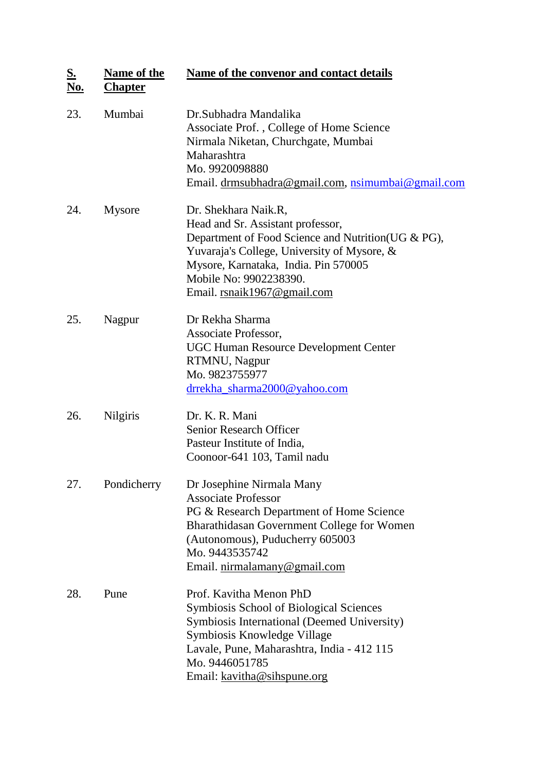| <u>S.</u><br><u>No.</u> | <b>Name of the</b><br><b>Chapter</b> | <b>Name of the convenor and contact details</b>                                                                                                                                                                                                                  |
|-------------------------|--------------------------------------|------------------------------------------------------------------------------------------------------------------------------------------------------------------------------------------------------------------------------------------------------------------|
| 23.                     | Mumbai                               | Dr. Subhadra Mandalika<br>Associate Prof., College of Home Science<br>Nirmala Niketan, Churchgate, Mumbai<br>Maharashtra<br>Mo. 9920098880<br>Email. drmsubhadra@gmail.com, nsimumbai@gmail.com                                                                  |
| 24.                     | <b>Mysore</b>                        | Dr. Shekhara Naik.R,<br>Head and Sr. Assistant professor,<br>Department of Food Science and Nutrition (UG & PG),<br>Yuvaraja's College, University of Mysore, &<br>Mysore, Karnataka, India. Pin 570005<br>Mobile No: 9902238390.<br>Email. rsnaik1967@gmail.com |
| 25.                     | Nagpur                               | Dr Rekha Sharma<br>Associate Professor,<br><b>UGC Human Resource Development Center</b><br>RTMNU, Nagpur<br>Mo. 9823755977<br>drrekha sharma2000@yahoo.com                                                                                                       |
| 26.                     | <b>Nilgiris</b>                      | Dr. K. R. Mani<br><b>Senior Research Officer</b><br>Pasteur Institute of India,<br>Coonoor-641 103, Tamil nadu                                                                                                                                                   |
| 27.                     | Pondicherry                          | Dr Josephine Nirmala Many<br><b>Associate Professor</b><br>PG & Research Department of Home Science<br>Bharathidasan Government College for Women<br>(Autonomous), Puducherry 605003<br>Mo. 9443535742<br>Email. nirmalamany@gmail.com                           |
| 28.                     | Pune                                 | Prof. Kavitha Menon PhD<br><b>Symbiosis School of Biological Sciences</b><br>Symbiosis International (Deemed University)<br>Symbiosis Knowledge Village<br>Lavale, Pune, Maharashtra, India - 412 115<br>Mo. 9446051785<br>Email: kavitha@sihspune.org           |